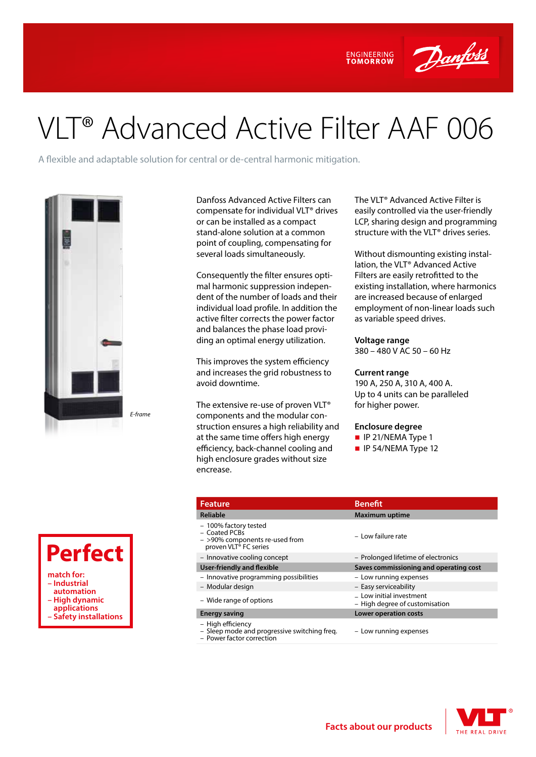

# VLT® Advanced Active Filter AAF 006

A flexible and adaptable solution for central or de-central harmonic mitigation.



*E-frame*



Danfoss Advanced Active Filters can compensate for individual VLT® drives or can be installed as a compact stand-alone solution at a common point of coupling, compensating for several loads simultaneously.

Consequently the filter ensures optimal harmonic suppression independent of the number of loads and their individual load profile. In addition the active filter corrects the power factor and balances the phase load providing an optimal energy utilization.

This improves the system efficiency and increases the grid robustness to avoid downtime.

The extensive re-use of proven VLT® components and the modular construction ensures a high reliability and at the same time offers high energy efficiency, back-channel cooling and high enclosure grades without size encrease.

The VLT® Advanced Active Filter is easily controlled via the user-friendly LCP, sharing design and programming structure with the VLT® drives series.

Without dismounting existing installation, the VLT® Advanced Active Filters are easily retrofitted to the existing installation, where harmonics are increased because of enlarged employment of non-linear loads such as variable speed drives.

### **Voltage range**

**ENGINEERING** 

380 – 480 V AC 50 – 60 Hz

#### **Current range**

190 A, 250 A, 310 A, 400 A. Up to 4 units can be paralleled for higher power.

#### **Enclosure degree**

- $\blacksquare$  IP 21/NEMA Type 1
- $\blacksquare$  IP 54/NEMA Type 12

| <b>Feature</b>                                                                                                | <b>Benefit</b>                                             |  |  |
|---------------------------------------------------------------------------------------------------------------|------------------------------------------------------------|--|--|
| <b>Reliable</b>                                                                                               | <b>Maximum uptime</b>                                      |  |  |
| - 100% factory tested<br>- Coated PCBs<br>- >90% components re-used from<br>proven VLT <sup>®</sup> FC series | - Low failure rate                                         |  |  |
| - Innovative cooling concept                                                                                  | - Prolonged lifetime of electronics                        |  |  |
| <b>User-friendly and flexible</b>                                                                             | Saves commissioning and operating cost                     |  |  |
| - Innovative programming possibilities                                                                        | - Low running expenses                                     |  |  |
| - Modular design                                                                                              | - Easy serviceability                                      |  |  |
| - Wide range of options                                                                                       | - Low initial investment<br>- High degree of customisation |  |  |
| <b>Energy saving</b>                                                                                          | <b>Lower operation costs</b>                               |  |  |
| - High efficiency<br>- Sleep mode and progressive switching freq.<br>- Power factor correction                | - Low running expenses                                     |  |  |